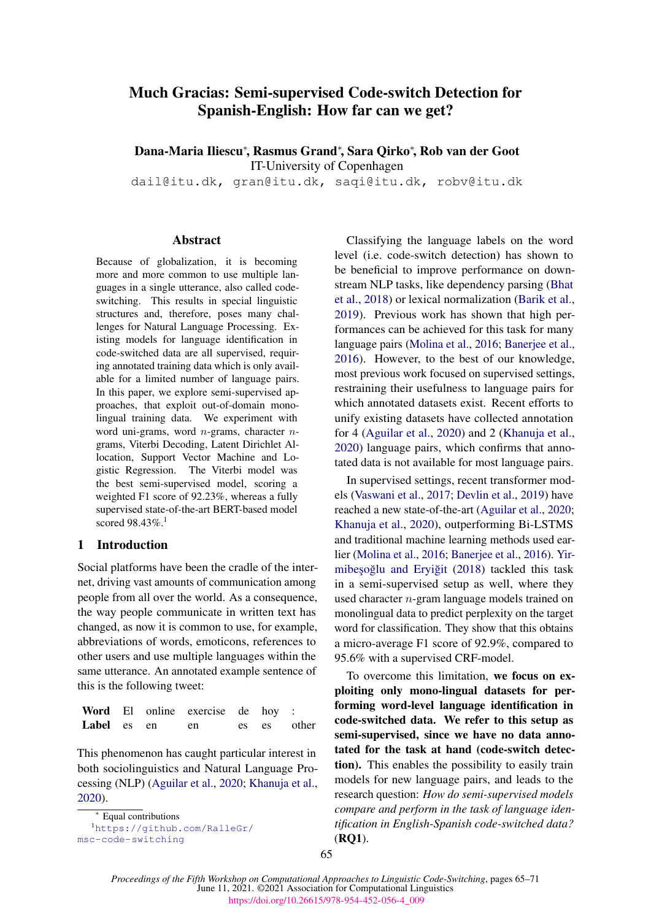# Much Gracias: Semi-supervised Code-switch Detection for Spanish-English: How far can we get?

Dana-Maria Iliescu<sup>∗</sup> , Rasmus Grand<sup>∗</sup> , Sara Qirko<sup>∗</sup> , Rob van der Goot

IT-University of Copenhagen

dail@itu.dk, gran@itu.dk, saqi@itu.dk, robv@itu.dk

#### Abstract

Because of globalization, it is becoming more and more common to use multiple languages in a single utterance, also called codeswitching. This results in special linguistic structures and, therefore, poses many challenges for Natural Language Processing. Existing models for language identification in code-switched data are all supervised, requiring annotated training data which is only available for a limited number of language pairs. In this paper, we explore semi-supervised approaches, that exploit out-of-domain monolingual training data. We experiment with word uni-grams, word  $n$ -grams, character  $n$ grams, Viterbi Decoding, Latent Dirichlet Allocation, Support Vector Machine and Logistic Regression. The Viterbi model was the best semi-supervised model, scoring a weighted F1 score of 92.23%, whereas a fully supervised state-of-the-art BERT-based model scored 98.43%.[1](#page-0-0)

### 1 Introduction

Social platforms have been the cradle of the internet, driving vast amounts of communication among people from all over the world. As a consequence, the way people communicate in written text has changed, as now it is common to use, for example, abbreviations of words, emoticons, references to other users and use multiple languages within the same utterance. An annotated example sentence of this is the following tweet:

|             |  | Word El online exercise de hoy : |  |             |
|-------------|--|----------------------------------|--|-------------|
| Label es en |  | en                               |  | es es other |

This phenomenon has caught particular interest in both sociolinguistics and Natural Language Processing (NLP) [\(Aguilar et al.,](#page-4-0) [2020;](#page-4-0) [Khanuja et al.,](#page-4-1) [2020\)](#page-4-1).

<span id="page-0-0"></span>Equal contributions

<sup>1</sup>[https://github.com/RalleGr/](https://github.com/RalleGr/msc-code-switching) [msc-code-switching](https://github.com/RalleGr/msc-code-switching)

Classifying the language labels on the word level (i.e. code-switch detection) has shown to be beneficial to improve performance on downstream NLP tasks, like dependency parsing [\(Bhat](#page-4-2) [et al.,](#page-4-2) [2018\)](#page-4-2) or lexical normalization [\(Barik et al.,](#page-4-3) [2019\)](#page-4-3). Previous work has shown that high performances can be achieved for this task for many language pairs [\(Molina et al.,](#page-4-4) [2016;](#page-4-4) [Banerjee et al.,](#page-4-5) [2016\)](#page-4-5). However, to the best of our knowledge, most previous work focused on supervised settings, restraining their usefulness to language pairs for which annotated datasets exist. Recent efforts to unify existing datasets have collected annotation for 4 [\(Aguilar et al.,](#page-4-0) [2020\)](#page-4-0) and 2 [\(Khanuja et al.,](#page-4-1) [2020\)](#page-4-1) language pairs, which confirms that annotated data is not available for most language pairs.

In supervised settings, recent transformer models [\(Vaswani et al.,](#page-4-6) [2017;](#page-4-6) [Devlin et al.,](#page-4-7) [2019\)](#page-4-7) have reached a new state-of-the-art [\(Aguilar et al.,](#page-4-0) [2020;](#page-4-0) [Khanuja et al.,](#page-4-1) [2020\)](#page-4-1), outperforming Bi-LSTMS and traditional machine learning methods used earlier [\(Molina et al.,](#page-4-4) [2016;](#page-4-4) [Banerjee et al.,](#page-4-5) [2016\)](#page-4-5). [Yir-](#page-5-0)mibeşoğlu and Eryiğit [\(2018\)](#page-5-0) tackled this task in a semi-supervised setup as well, where they used character n-gram language models trained on monolingual data to predict perplexity on the target word for classification. They show that this obtains a micro-average F1 score of 92.9%, compared to 95.6% with a supervised CRF-model.

To overcome this limitation, we focus on exploiting only mono-lingual datasets for performing word-level language identification in code-switched data. We refer to this setup as semi-supervised, since we have no data annotated for the task at hand (code-switch detection). This enables the possibility to easily train models for new language pairs, and leads to the research question: *How do semi-supervised models compare and perform in the task of language identification in English-Spanish code-switched data?* (RQ1).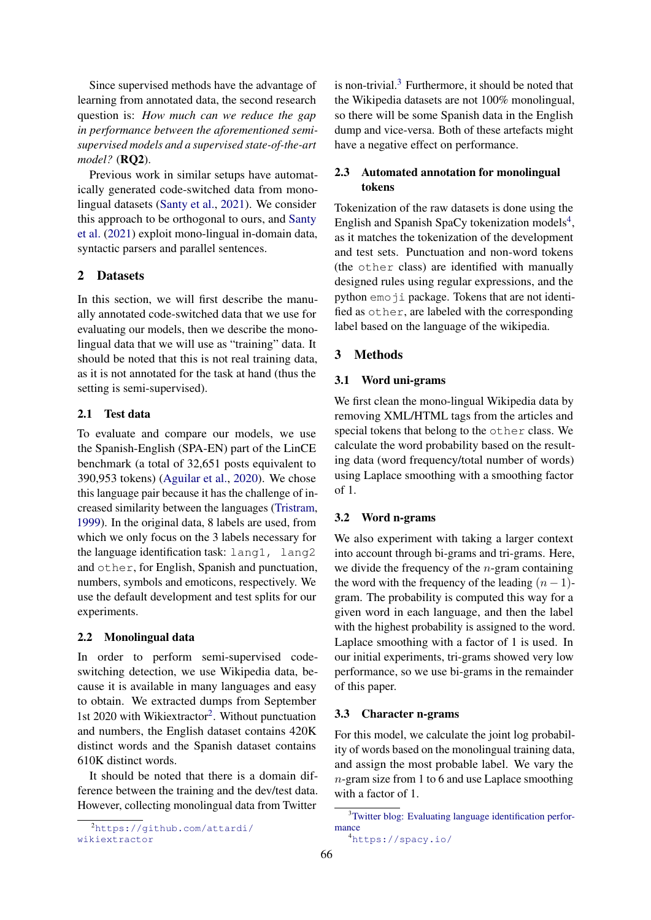Since supervised methods have the advantage of learning from annotated data, the second research question is: *How much can we reduce the gap in performance between the aforementioned semisupervised models and a supervised state-of-the-art model?* (RQ2).

Previous work in similar setups have automatically generated code-switched data from monolingual datasets [\(Santy et al.,](#page-4-8) [2021\)](#page-4-8). We consider this approach to be orthogonal to ours, and [Santy](#page-4-8) [et al.](#page-4-8) [\(2021\)](#page-4-8) exploit mono-lingual in-domain data, syntactic parsers and parallel sentences.

### 2 Datasets

In this section, we will first describe the manually annotated code-switched data that we use for evaluating our models, then we describe the monolingual data that we will use as "training" data. It should be noted that this is not real training data, as it is not annotated for the task at hand (thus the setting is semi-supervised).

### <span id="page-1-6"></span>2.1 Test data

To evaluate and compare our models, we use the Spanish-English (SPA-EN) part of the LinCE benchmark (a total of 32,651 posts equivalent to 390,953 tokens) [\(Aguilar et al.,](#page-4-0) [2020\)](#page-4-0). We chose this language pair because it has the challenge of increased similarity between the languages [\(Tristram,](#page-4-9) [1999\)](#page-4-9). In the original data, 8 labels are used, from which we only focus on the 3 labels necessary for the language identification task: lang1, lang2 and other, for English, Spanish and punctuation, numbers, symbols and emoticons, respectively. We use the default development and test splits for our experiments.

### <span id="page-1-5"></span>2.2 Monolingual data

In order to perform semi-supervised codeswitching detection, we use Wikipedia data, because it is available in many languages and easy to obtain. We extracted dumps from September 1st [2](#page-1-0)020 with Wikiextractor<sup>2</sup>. Without punctuation and numbers, the English dataset contains 420K distinct words and the Spanish dataset contains 610K distinct words.

It should be noted that there is a domain difference between the training and the dev/test data. However, collecting monolingual data from Twitter

<span id="page-1-0"></span><sup>2</sup>[https://github.com/attardi/](https://github.com/attardi/wikiextractor) [wikiextractor](https://github.com/attardi/wikiextractor)

is non-trivial.[3](#page-1-1) Furthermore, it should be noted that the Wikipedia datasets are not 100% monolingual, so there will be some Spanish data in the English dump and vice-versa. Both of these artefacts might have a negative effect on performance.

# <span id="page-1-3"></span>2.3 Automated annotation for monolingual tokens

Tokenization of the raw datasets is done using the English and Spanish SpaCy tokenization models<sup>[4](#page-1-2)</sup>, as it matches the tokenization of the development and test sets. Punctuation and non-word tokens (the other class) are identified with manually designed rules using regular expressions, and the python emoji package. Tokens that are not identified as other, are labeled with the corresponding label based on the language of the wikipedia.

# 3 Methods

### <span id="page-1-4"></span>3.1 Word uni-grams

We first clean the mono-lingual Wikipedia data by removing XML/HTML tags from the articles and special tokens that belong to the other class. We calculate the word probability based on the resulting data (word frequency/total number of words) using Laplace smoothing with a smoothing factor of 1.

#### 3.2 Word n-grams

We also experiment with taking a larger context into account through bi-grams and tri-grams. Here, we divide the frequency of the  $n$ -gram containing the word with the frequency of the leading  $(n - 1)$ gram. The probability is computed this way for a given word in each language, and then the label with the highest probability is assigned to the word. Laplace smoothing with a factor of 1 is used. In our initial experiments, tri-grams showed very low performance, so we use bi-grams in the remainder of this paper.

#### 3.3 Character n-grams

For this model, we calculate the joint log probability of words based on the monolingual training data, and assign the most probable label. We vary the n-gram size from 1 to 6 and use Laplace smoothing with a factor of 1.

<span id="page-1-1"></span><sup>&</sup>lt;sup>3</sup>[Twitter blog: Evaluating language identification perfor](https://blog.twitter.com/engineering/en_us/a/2015/evaluating-language-identification-performance.html)[mance](https://blog.twitter.com/engineering/en_us/a/2015/evaluating-language-identification-performance.html)

<span id="page-1-2"></span><sup>4</sup><https://spacy.io/>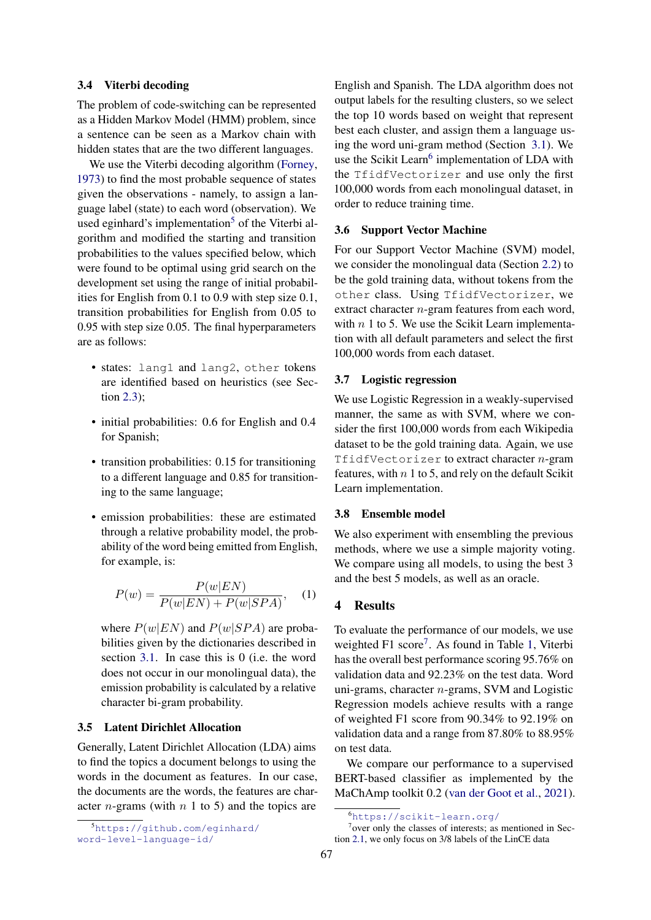#### 3.4 Viterbi decoding

The problem of code-switching can be represented as a Hidden Markov Model (HMM) problem, since a sentence can be seen as a Markov chain with hidden states that are the two different languages.

We use the Viterbi decoding algorithm [\(Forney,](#page-4-10) [1973\)](#page-4-10) to find the most probable sequence of states given the observations - namely, to assign a language label (state) to each word (observation). We used eginhard's implementation<sup>[5](#page-2-0)</sup> of the Viterbi algorithm and modified the starting and transition probabilities to the values specified below, which were found to be optimal using grid search on the development set using the range of initial probabilities for English from 0.1 to 0.9 with step size 0.1, transition probabilities for English from 0.05 to 0.95 with step size 0.05. The final hyperparameters are as follows:

- states: lang1 and lang2, other tokens are identified based on heuristics (see Section [2.3\)](#page-1-3);
- initial probabilities: 0.6 for English and 0.4 for Spanish;
- transition probabilities: 0.15 for transitioning to a different language and 0.85 for transitioning to the same language;
- emission probabilities: these are estimated through a relative probability model, the probability of the word being emitted from English, for example, is:

$$
P(w) = \frac{P(w|EN)}{P(w|EN) + P(w|SPA)}, \quad (1)
$$

where  $P(w|EN)$  and  $P(w|SPA)$  are probabilities given by the dictionaries described in section [3.1.](#page-1-4) In case this is 0 (i.e. the word does not occur in our monolingual data), the emission probability is calculated by a relative character bi-gram probability.

# 3.5 Latent Dirichlet Allocation

Generally, Latent Dirichlet Allocation (LDA) aims to find the topics a document belongs to using the words in the document as features. In our case, the documents are the words, the features are character *n*-grams (with  $n \neq 1$  to 5) and the topics are

English and Spanish. The LDA algorithm does not output labels for the resulting clusters, so we select the top 10 words based on weight that represent best each cluster, and assign them a language using the word uni-gram method (Section [3.1\)](#page-1-4). We use the Scikit Learn<sup>[6](#page-2-1)</sup> implementation of LDA with the TfidfVectorizer and use only the first 100,000 words from each monolingual dataset, in order to reduce training time.

#### 3.6 Support Vector Machine

For our Support Vector Machine (SVM) model, we consider the monolingual data (Section [2.2\)](#page-1-5) to be the gold training data, without tokens from the other class. Using TfidfVectorizer, we extract character *n*-gram features from each word, with  $n$  1 to 5. We use the Scikit Learn implementation with all default parameters and select the first 100,000 words from each dataset.

#### 3.7 Logistic regression

We use Logistic Regression in a weakly-supervised manner, the same as with SVM, where we consider the first 100,000 words from each Wikipedia dataset to be the gold training data. Again, we use TfidfVectorizer to extract character n-gram features, with  $n \, 1$  to 5, and rely on the default Scikit Learn implementation.

#### 3.8 Ensemble model

We also experiment with ensembling the previous methods, where we use a simple majority voting. We compare using all models, to using the best 3 and the best 5 models, as well as an oracle.

# 4 Results

To evaluate the performance of our models, we use weighted F1 score<sup>[7](#page-2-2)</sup>. As found in Table [1,](#page-3-0) Viterbi has the overall best performance scoring 95.76% on validation data and 92.23% on the test data. Word uni-grams, character n-grams, SVM and Logistic Regression models achieve results with a range of weighted F1 score from 90.34% to 92.19% on validation data and a range from 87.80% to 88.95% on test data.

We compare our performance to a supervised BERT-based classifier as implemented by the MaChAmp toolkit 0.2 [\(van der Goot et al.,](#page-4-11) [2021\)](#page-4-11).

<span id="page-2-0"></span><sup>5</sup>[https://github.com/eginhard/](https://github.com/eginhard/word-level-language-id/) [word-level-language-id/](https://github.com/eginhard/word-level-language-id/)

<span id="page-2-2"></span><span id="page-2-1"></span><sup>6</sup><https://scikit-learn.org/>

<sup>7</sup> over only the classes of interests; as mentioned in Section [2.1,](#page-1-6) we only focus on 3/8 labels of the LinCE data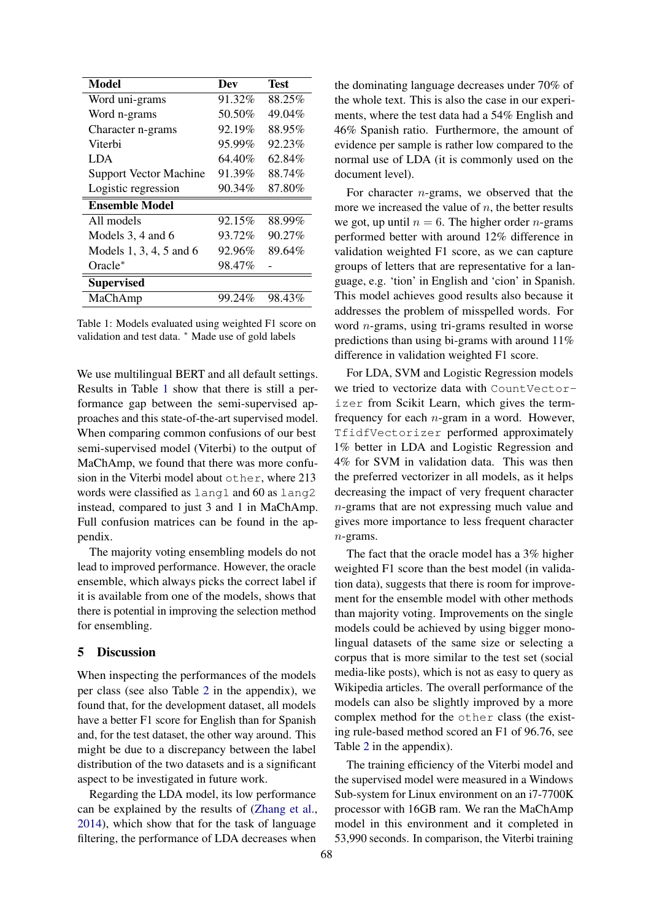<span id="page-3-0"></span>

| <b>Model</b>                  | Dev    | Test   |  |  |  |  |
|-------------------------------|--------|--------|--|--|--|--|
| Word uni-grams                | 91.32% | 88.25% |  |  |  |  |
| Word n-grams                  | 50.50% | 49.04% |  |  |  |  |
| Character n-grams             | 92.19% | 88.95% |  |  |  |  |
| Viterbi                       | 95.99% | 92.23% |  |  |  |  |
| LDA.                          | 64.40% | 62.84% |  |  |  |  |
| <b>Support Vector Machine</b> | 91.39% | 88.74% |  |  |  |  |
| Logistic regression           | 90.34% | 87.80% |  |  |  |  |
| <b>Ensemble Model</b>         |        |        |  |  |  |  |
| All models                    | 92.15% | 88.99% |  |  |  |  |
| Models 3, 4 and 6             | 93.72% | 90.27% |  |  |  |  |
| Models 1, 3, 4, 5 and 6       | 92.96% | 89.64% |  |  |  |  |
| $Oracle^*$                    | 98.47% |        |  |  |  |  |
| <b>Supervised</b>             |        |        |  |  |  |  |
| MaChAmp                       | 99.24% | 98.43% |  |  |  |  |
|                               |        |        |  |  |  |  |

Table 1: Models evaluated using weighted F1 score on validation and test data. <sup>\*</sup> Made use of gold labels

We use multilingual BERT and all default settings. Results in Table [1](#page-3-0) show that there is still a performance gap between the semi-supervised approaches and this state-of-the-art supervised model. When comparing common confusions of our best semi-supervised model (Viterbi) to the output of MaChAmp, we found that there was more confusion in the Viterbi model about other, where 213 words were classified as lang1 and 60 as lang2 instead, compared to just 3 and 1 in MaChAmp. Full confusion matrices can be found in the appendix.

The majority voting ensembling models do not lead to improved performance. However, the oracle ensemble, which always picks the correct label if it is available from one of the models, shows that there is potential in improving the selection method for ensembling.

# 5 Discussion

When inspecting the performances of the models per class (see also Table [2](#page-6-0) in the appendix), we found that, for the development dataset, all models have a better F1 score for English than for Spanish and, for the test dataset, the other way around. This might be due to a discrepancy between the label distribution of the two datasets and is a significant aspect to be investigated in future work.

Regarding the LDA model, its low performance can be explained by the results of [\(Zhang et al.,](#page-5-1) [2014\)](#page-5-1), which show that for the task of language filtering, the performance of LDA decreases when

the dominating language decreases under 70% of the whole text. This is also the case in our experiments, where the test data had a 54% English and 46% Spanish ratio. Furthermore, the amount of evidence per sample is rather low compared to the normal use of LDA (it is commonly used on the document level).

For character  $n$ -grams, we observed that the more we increased the value of  $n$ , the better results we got, up until  $n = 6$ . The higher order *n*-grams performed better with around 12% difference in validation weighted F1 score, as we can capture groups of letters that are representative for a language, e.g. 'tion' in English and 'cion' in Spanish. This model achieves good results also because it addresses the problem of misspelled words. For word n-grams, using tri-grams resulted in worse predictions than using bi-grams with around 11% difference in validation weighted F1 score.

For LDA, SVM and Logistic Regression models we tried to vectorize data with CountVectorizer from Scikit Learn, which gives the termfrequency for each n-gram in a word. However, TfidfVectorizer performed approximately 1% better in LDA and Logistic Regression and 4% for SVM in validation data. This was then the preferred vectorizer in all models, as it helps decreasing the impact of very frequent character n-grams that are not expressing much value and gives more importance to less frequent character  $n$ -grams.

The fact that the oracle model has a 3% higher weighted F1 score than the best model (in validation data), suggests that there is room for improvement for the ensemble model with other methods than majority voting. Improvements on the single models could be achieved by using bigger monolingual datasets of the same size or selecting a corpus that is more similar to the test set (social media-like posts), which is not as easy to query as Wikipedia articles. The overall performance of the models can also be slightly improved by a more complex method for the other class (the existing rule-based method scored an F1 of 96.76, see Table [2](#page-6-0) in the appendix).

The training efficiency of the Viterbi model and the supervised model were measured in a Windows Sub-system for Linux environment on an i7-7700K processor with 16GB ram. We ran the MaChAmp model in this environment and it completed in 53,990 seconds. In comparison, the Viterbi training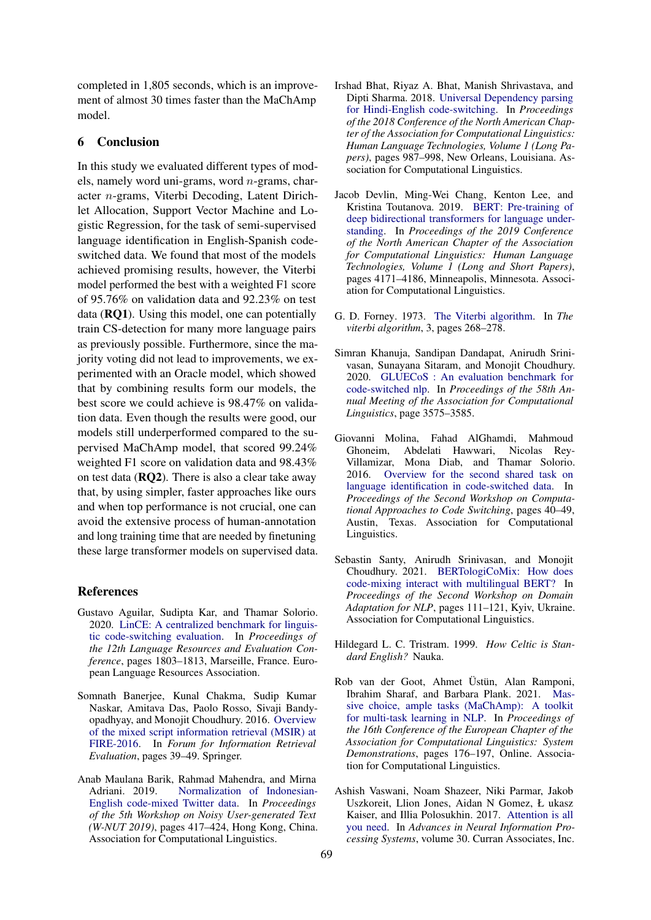completed in 1,805 seconds, which is an improvement of almost 30 times faster than the MaChAmp model.

# 6 Conclusion

In this study we evaluated different types of models, namely word uni-grams, word n-grams, character n-grams, Viterbi Decoding, Latent Dirichlet Allocation, Support Vector Machine and Logistic Regression, for the task of semi-supervised language identification in English-Spanish codeswitched data. We found that most of the models achieved promising results, however, the Viterbi model performed the best with a weighted F1 score of 95.76% on validation data and 92.23% on test data (RQ1). Using this model, one can potentially train CS-detection for many more language pairs as previously possible. Furthermore, since the majority voting did not lead to improvements, we experimented with an Oracle model, which showed that by combining results form our models, the best score we could achieve is 98.47% on validation data. Even though the results were good, our models still underperformed compared to the supervised MaChAmp model, that scored 99.24% weighted F1 score on validation data and 98.43% on test data (RQ2). There is also a clear take away that, by using simpler, faster approaches like ours and when top performance is not crucial, one can avoid the extensive process of human-annotation and long training time that are needed by finetuning these large transformer models on supervised data.

### References

- <span id="page-4-0"></span>Gustavo Aguilar, Sudipta Kar, and Thamar Solorio. 2020. [LinCE: A centralized benchmark for linguis](https://www.aclweb.org/anthology/2020.lrec-1.223)[tic code-switching evaluation.](https://www.aclweb.org/anthology/2020.lrec-1.223) In *Proceedings of the 12th Language Resources and Evaluation Conference*, pages 1803–1813, Marseille, France. European Language Resources Association.
- <span id="page-4-5"></span>Somnath Banerjee, Kunal Chakma, Sudip Kumar Naskar, Amitava Das, Paolo Rosso, Sivaji Bandyopadhyay, and Monojit Choudhury. 2016. [Overview](https://www.microsoft.com/en-us/research/wp-content/uploads/2017/01/MSIR-16-Overview.pdf) [of the mixed script information retrieval \(MSIR\) at](https://www.microsoft.com/en-us/research/wp-content/uploads/2017/01/MSIR-16-Overview.pdf) [FIRE-2016.](https://www.microsoft.com/en-us/research/wp-content/uploads/2017/01/MSIR-16-Overview.pdf) In *Forum for Information Retrieval Evaluation*, pages 39–49. Springer.
- <span id="page-4-3"></span>Anab Maulana Barik, Rahmad Mahendra, and Mirna Adriani. 2019. [Normalization of Indonesian-](https://doi.org/10.18653/v1/D19-5554)[English code-mixed Twitter data.](https://doi.org/10.18653/v1/D19-5554) In *Proceedings of the 5th Workshop on Noisy User-generated Text (W-NUT 2019)*, pages 417–424, Hong Kong, China. Association for Computational Linguistics.
- <span id="page-4-2"></span>Irshad Bhat, Riyaz A. Bhat, Manish Shrivastava, and Dipti Sharma. 2018. [Universal Dependency parsing](https://doi.org/10.18653/v1/N18-1090) [for Hindi-English code-switching.](https://doi.org/10.18653/v1/N18-1090) In *Proceedings of the 2018 Conference of the North American Chapter of the Association for Computational Linguistics: Human Language Technologies, Volume 1 (Long Papers)*, pages 987–998, New Orleans, Louisiana. Association for Computational Linguistics.
- <span id="page-4-7"></span>Jacob Devlin, Ming-Wei Chang, Kenton Lee, and Kristina Toutanova. 2019. [BERT: Pre-training of](https://doi.org/10.18653/v1/N19-1423) [deep bidirectional transformers for language under](https://doi.org/10.18653/v1/N19-1423)[standing.](https://doi.org/10.18653/v1/N19-1423) In *Proceedings of the 2019 Conference of the North American Chapter of the Association for Computational Linguistics: Human Language Technologies, Volume 1 (Long and Short Papers)*, pages 4171–4186, Minneapolis, Minnesota. Association for Computational Linguistics.
- <span id="page-4-10"></span>G. D. Forney. 1973. [The Viterbi algorithm.](https://doi.org/10.1109/PROC.1973.9030) In *The viterbi algorithm*, 3, pages 268–278.
- <span id="page-4-1"></span>Simran Khanuja, Sandipan Dandapat, Anirudh Srinivasan, Sunayana Sitaram, and Monojit Choudhury. 2020. [GLUECoS : An evaluation benchmark for](https://www.aclweb.org/anthology/2020.acl-main.329.pdf) [code-switched nlp.](https://www.aclweb.org/anthology/2020.acl-main.329.pdf) In *Proceedings of the 58th Annual Meeting of the Association for Computational Linguistics*, page 3575–3585.
- <span id="page-4-4"></span>Giovanni Molina, Fahad AlGhamdi, Mahmoud Ghoneim, Abdelati Hawwari, Nicolas Rey-Villamizar, Mona Diab, and Thamar Solorio. 2016. [Overview for the second shared task on](https://doi.org/10.18653/v1/W16-5805) [language identification in code-switched data.](https://doi.org/10.18653/v1/W16-5805) In *Proceedings of the Second Workshop on Computational Approaches to Code Switching*, pages 40–49, Austin, Texas. Association for Computational Linguistics.
- <span id="page-4-8"></span>Sebastin Santy, Anirudh Srinivasan, and Monojit Choudhury. 2021. [BERTologiCoMix: How does](https://www.aclweb.org/anthology/2021.adaptnlp-1.12) [code-mixing interact with multilingual BERT?](https://www.aclweb.org/anthology/2021.adaptnlp-1.12) In *Proceedings of the Second Workshop on Domain Adaptation for NLP*, pages 111–121, Kyiv, Ukraine. Association for Computational Linguistics.
- <span id="page-4-9"></span>Hildegard L. C. Tristram. 1999. *How Celtic is Standard English?* Nauka.
- <span id="page-4-11"></span>Rob van der Goot, Ahmet Üstün, Alan Ramponi, Ibrahim Sharaf, and Barbara Plank. 2021. [Mas](https://www.aclweb.org/anthology/2021.eacl-demos.22)[sive choice, ample tasks \(MaChAmp\): A toolkit](https://www.aclweb.org/anthology/2021.eacl-demos.22) [for multi-task learning in NLP.](https://www.aclweb.org/anthology/2021.eacl-demos.22) In *Proceedings of the 16th Conference of the European Chapter of the Association for Computational Linguistics: System Demonstrations*, pages 176–197, Online. Association for Computational Linguistics.
- <span id="page-4-6"></span>Ashish Vaswani, Noam Shazeer, Niki Parmar, Jakob Uszkoreit, Llion Jones, Aidan N Gomez, Ł ukasz Kaiser, and Illia Polosukhin. 2017. [Attention is all](https://proceedings.neurips.cc/paper/2017/file/3f5ee243547dee91fbd053c1c4a845aa-Paper.pdf) [you need.](https://proceedings.neurips.cc/paper/2017/file/3f5ee243547dee91fbd053c1c4a845aa-Paper.pdf) In *Advances in Neural Information Processing Systems*, volume 30. Curran Associates, Inc.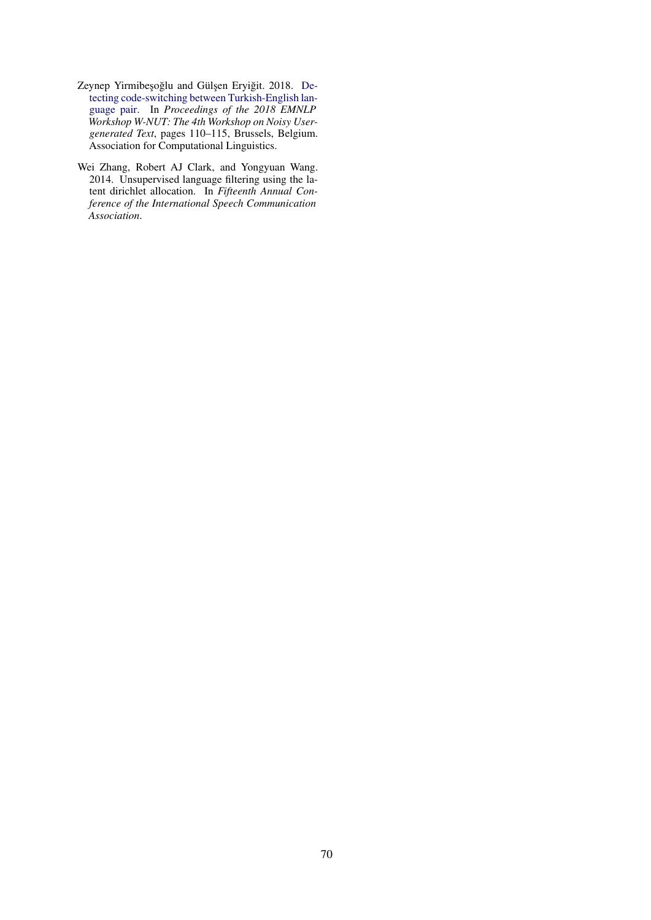- <span id="page-5-0"></span>Zeynep Yirmibeşoğlu and Gülşen Eryiğit. 2018. [De](https://doi.org/10.18653/v1/W18-6115)[tecting code-switching between Turkish-English lan](https://doi.org/10.18653/v1/W18-6115)[guage pair.](https://doi.org/10.18653/v1/W18-6115) In *Proceedings of the 2018 EMNLP Workshop W-NUT: The 4th Workshop on Noisy Usergenerated Text*, pages 110–115, Brussels, Belgium. Association for Computational Linguistics.
- <span id="page-5-1"></span>Wei Zhang, Robert AJ Clark, and Yongyuan Wang. 2014. Unsupervised language filtering using the latent dirichlet allocation. In *Fifteenth Annual Conference of the International Speech Communication Association*.